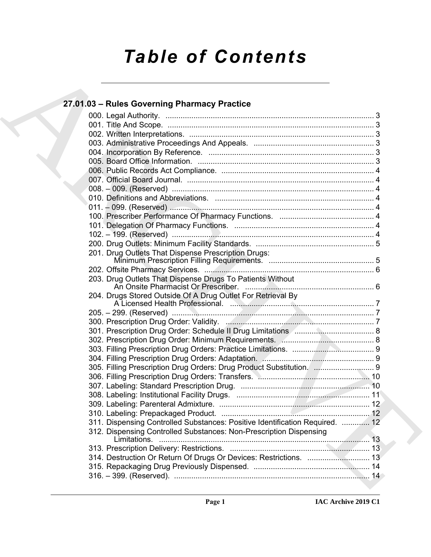# *Table of Contents*

| 27.01.03 - Rules Governing Pharmacy Practice                                 |  |
|------------------------------------------------------------------------------|--|
|                                                                              |  |
|                                                                              |  |
|                                                                              |  |
|                                                                              |  |
|                                                                              |  |
|                                                                              |  |
|                                                                              |  |
|                                                                              |  |
|                                                                              |  |
|                                                                              |  |
|                                                                              |  |
|                                                                              |  |
|                                                                              |  |
|                                                                              |  |
|                                                                              |  |
| 201. Drug Outlets That Dispense Prescription Drugs:                          |  |
|                                                                              |  |
| 203. Drug Outlets That Dispense Drugs To Patients Without                    |  |
|                                                                              |  |
|                                                                              |  |
|                                                                              |  |
|                                                                              |  |
|                                                                              |  |
|                                                                              |  |
|                                                                              |  |
| 305. Filling Prescription Drug Orders: Drug Product Substitution.  9         |  |
|                                                                              |  |
|                                                                              |  |
|                                                                              |  |
|                                                                              |  |
|                                                                              |  |
| 311. Dispensing Controlled Substances: Positive Identification Required.  12 |  |
| 312. Dispensing Controlled Substances: Non-Prescription Dispensing           |  |
|                                                                              |  |
|                                                                              |  |
| 314. Destruction Or Return Of Drugs Or Devices: Restrictions.  13            |  |
|                                                                              |  |
|                                                                              |  |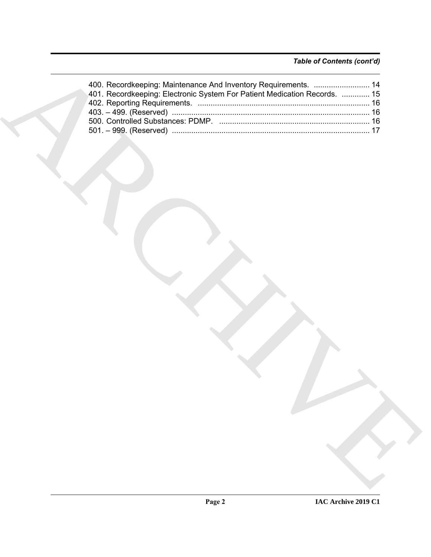| 400. Recordkeeping: Maintenance And Inventory Requirements.  14           |
|---------------------------------------------------------------------------|
| 401. Recordkeeping: Electronic System For Patient Medication Records.  15 |
|                                                                           |
|                                                                           |
|                                                                           |
|                                                                           |
|                                                                           |
|                                                                           |
|                                                                           |
|                                                                           |
|                                                                           |
|                                                                           |
|                                                                           |
|                                                                           |
|                                                                           |
|                                                                           |
|                                                                           |
|                                                                           |
|                                                                           |
|                                                                           |
|                                                                           |
|                                                                           |
|                                                                           |
|                                                                           |
|                                                                           |
|                                                                           |
|                                                                           |
|                                                                           |
|                                                                           |
|                                                                           |
|                                                                           |
|                                                                           |
|                                                                           |
|                                                                           |
|                                                                           |
|                                                                           |
|                                                                           |
|                                                                           |
|                                                                           |
|                                                                           |
|                                                                           |
|                                                                           |
|                                                                           |
|                                                                           |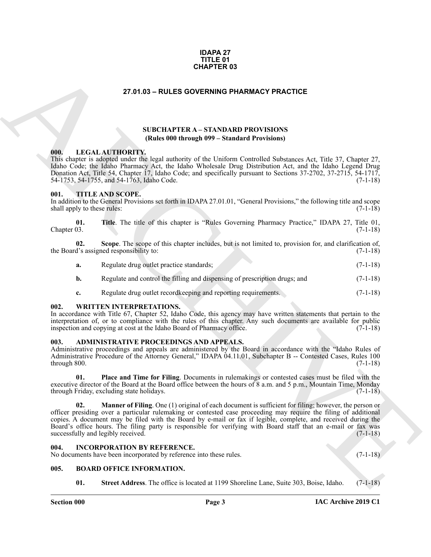#### **IDAPA 27 TITLE 01 CHAPTER 03**

#### **27.01.03 – RULES GOVERNING PHARMACY PRACTICE**

#### **SUBCHAPTER A – STANDARD PROVISIONS (Rules 000 through 099 – Standard Provisions)**

#### <span id="page-2-10"></span><span id="page-2-1"></span>**000. LEGALAUTHORITY.**

This chapter is adopted under the legal authority of the Uniform Controlled Substances Act, Title 37, Chapter 27, Idaho Code; the Idaho Pharmacy Act, the Idaho Wholesale Drug Distribution Act, and the Idaho Legend Drug Donation Act, Title 54, Chapter 17, Idaho Code; and specifically pursuant to Sections 37-2702, 37-2715, 54-1717, 54-1753, 54-1755, and 54-1763, Idaho Code. (7-1-18)

#### <span id="page-2-11"></span><span id="page-2-2"></span>**001. TITLE AND SCOPE.**

In addition to the General Provisions set forth in IDAPA 27.01.01, "General Provisions," the following title and scope shall apply to these rules: (7-1-18) (7-1-18)

**01. Title**. The title of this chapter is "Rules Governing Pharmacy Practice," IDAPA 27, Title 01,  $\ell$  Chapter 03. (7-1-18)

**02. Scope**. The scope of this chapter includes, but is not limited to, provision for, and clarification of, the Board's assigned responsibility to: (7-1-18)

| Regulate drug outlet practice standards;                                   | $(7-1-18)$ |
|----------------------------------------------------------------------------|------------|
| Regulate and control the filling and dispensing of prescription drugs; and | $(7-1-18)$ |

<span id="page-2-12"></span>**c.** Regulate drug outlet recordkeeping and reporting requirements. (7-1-18)

#### <span id="page-2-3"></span>**002. WRITTEN INTERPRETATIONS.**

In accordance with Title 67, Chapter 52, Idaho Code, this agency may have written statements that pertain to the interpretation of, or to compliance with the rules of this chapter. Any such documents are available for public inspection and copying at cost at the Idaho Board of Pharmacy office. (7-1-18)

#### <span id="page-2-7"></span><span id="page-2-4"></span>**003. ADMINISTRATIVE PROCEEDINGS AND APPEALS.**

Administrative proceedings and appeals are administered by the Board in accordance with the "Idaho Rules of Administrative Procedure of the Attorney General," IDAPA 04.11.01, Subchapter B -- Contested Cases, Rules 100  $(7-1-18)$  (7-1-18)

**01. Place and Time for Filing**. Documents in rulemakings or contested cases must be filed with the executive director of the Board at the Board office between the hours of 8 a.m. and 5 p.m., Mountain Time, Monday through Friday, excluding state holidays. (7-1-18)

<span id="page-2-0"></span>**CHAPTER 0.3**<br> **CHAPTER 0.3**<br> **CHAPTER 3. CHAPTER 1. ATIVIDENT PROVISIONS**<br> **CHAPTER 3. CHAPTER 3. CHAPTER 1. ATIVIDENT PROVISIONS**<br> **CHAPTER 3. ATIVIDENT PROVISIONS**<br> **CHAPTER 3. ATIVIDENT PROVISIONS CHAP 02. Manner of Filing**. One (1) original of each document is sufficient for filing; however, the person or officer presiding over a particular rulemaking or contested case proceeding may require the filing of additional copies. A document may be filed with the Board by e-mail or fax if legible, complete, and received during the Board's office hours. The filing party is responsible for verifying with Board staff that an e-mail or fax was successfully and legibly received. (7-1-18) successfully and legibly received.

#### <span id="page-2-9"></span><span id="page-2-5"></span>**004. INCORPORATION BY REFERENCE.**

No documents have been incorporated by reference into these rules. (7-1-18)

#### <span id="page-2-6"></span>**005. BOARD OFFICE INFORMATION.**

<span id="page-2-8"></span>**01. Street Address**. The office is located at 1199 Shoreline Lane, Suite 303, Boise, Idaho. (7-1-18)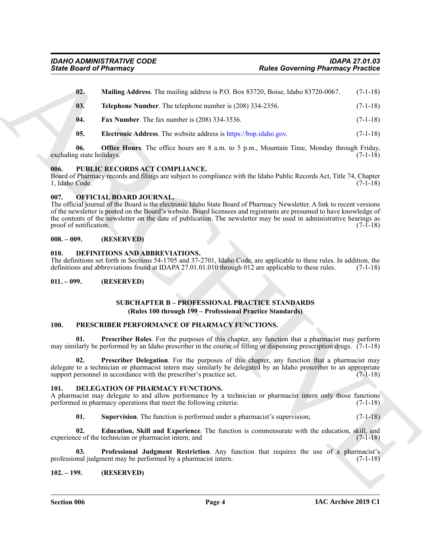| <b>State Board of Pharmacy</b>   |                                                                                                                                                                                                                                                                                                                                                                                                    | <b>Rules Governing Pharmacy Practice</b> |  |
|----------------------------------|----------------------------------------------------------------------------------------------------------------------------------------------------------------------------------------------------------------------------------------------------------------------------------------------------------------------------------------------------------------------------------------------------|------------------------------------------|--|
| 02.                              | Mailing Address. The mailing address is P.O. Box 83720, Boise, Idaho 83720-0067.                                                                                                                                                                                                                                                                                                                   | $(7-1-18)$                               |  |
| 03.                              | Telephone Number. The telephone number is (208) 334-2356.                                                                                                                                                                                                                                                                                                                                          | $(7-1-18)$                               |  |
| 04.                              | <b>Fax Number.</b> The fax number is $(208)$ 334-3536.                                                                                                                                                                                                                                                                                                                                             | $(7-1-18)$                               |  |
| 05.                              | Electronic Address. The website address is https://bop.idaho.gov.                                                                                                                                                                                                                                                                                                                                  | $(7-1-18)$                               |  |
| 06.<br>excluding state holidays. | <b>Office Hours.</b> The office hours are 8 a.m. to 5 p.m., Mountain Time, Monday through Friday,                                                                                                                                                                                                                                                                                                  | $(7-1-18)$                               |  |
| 006.<br>1, Idaho Code.           | PUBLIC RECORDS ACT COMPLIANCE.<br>Board of Pharmacy records and filings are subject to compliance with the Idaho Public Records Act, Title 74, Chapter                                                                                                                                                                                                                                             | $(7-1-18)$                               |  |
| 007.<br>proof of notification.   | OFFICIAL BOARD JOURNAL.<br>The official journal of the Board is the electronic Idaho State Board of Pharmacy Newsletter. A link to recent versions<br>of the newsletter is posted on the Board's website. Board licensees and registrants are presumed to have knowledge of<br>the contents of the newsletter on the date of publication. The newsletter may be used in administrative hearings as | $(7-1-18)$                               |  |
| $008. - 009.$                    | (RESERVED)                                                                                                                                                                                                                                                                                                                                                                                         |                                          |  |
| 010.                             | DEFINITIONS AND ABBREVIATIONS.<br>The definitions set forth in Sections 54-1705 and 37-2701, Idaho Code, are applicable to these rules. In addition, the<br>definitions and abbreviations found at IDAPA 27.01.01.010 through 012 are applicable to these rules.                                                                                                                                   | $(7-1-18)$                               |  |
| $011. - 099.$                    | (RESERVED)                                                                                                                                                                                                                                                                                                                                                                                         |                                          |  |
|                                  | <b>SUBCHAPTER B - PROFESSIONAL PRACTICE STANDARDS</b><br>(Rules 100 through 199 – Professional Practice Standards)                                                                                                                                                                                                                                                                                 |                                          |  |
| 100.                             | PRESCRIBER PERFORMANCE OF PHARMACY FUNCTIONS.                                                                                                                                                                                                                                                                                                                                                      |                                          |  |
| 01.                              | <b>Prescriber Roles</b> . For the purposes of this chapter, any function that a pharmacist may perform<br>may similarly be performed by an Idaho prescriber in the course of filling or dispensing prescription drugs. $(7-1-18)$                                                                                                                                                                  |                                          |  |
| 02.                              | Prescriber Delegation. For the purposes of this chapter, any function that a pharmacist may<br>delegate to a technician or pharmacist intern may similarly be delegated by an Idaho prescriber to an appropriate<br>support personnel in accordance with the prescriber's practice act.                                                                                                            | $(7-1-18)$                               |  |
| 101.                             | DELEGATION OF PHARMACY FUNCTIONS.<br>A pharmacist may delegate to and allow performance by a technician or pharmacist intern only those functions<br>performed in pharmacy operations that meet the following criteria:                                                                                                                                                                            | $(7-1-18)$                               |  |
|                                  |                                                                                                                                                                                                                                                                                                                                                                                                    |                                          |  |
| 01.                              | Supervision. The function is performed under a pharmacist's supervision;                                                                                                                                                                                                                                                                                                                           |                                          |  |
| 02.                              | Education, Skill and Experience. The function is commensurate with the education, skill, and<br>experience of the technician or pharmacist intern; and                                                                                                                                                                                                                                             |                                          |  |
| 03.                              | Professional Judgment Restriction. Any function that requires the use of a pharmacist's<br>professional judgment may be performed by a pharmacist intern.                                                                                                                                                                                                                                          | $(7-1-18)$<br>$(7-1-18)$<br>$(7-1-18)$   |  |

#### <span id="page-3-17"></span><span id="page-3-0"></span>**006. PUBLIC RECORDS ACT COMPLIANCE.**

#### <span id="page-3-13"></span><span id="page-3-1"></span>**007. OFFICIAL BOARD JOURNAL.**

#### <span id="page-3-2"></span>**008. – 009. (RESERVED)**

#### <span id="page-3-8"></span><span id="page-3-3"></span>**010. DEFINITIONS AND ABBREVIATIONS.**

#### <span id="page-3-4"></span>**011. – 099. (RESERVED)**

#### <span id="page-3-16"></span><span id="page-3-15"></span>**SUBCHAPTER B – PROFESSIONAL PRACTICE STANDARDS (Rules 100 through 199 – Professional Practice Standards)**

#### <span id="page-3-14"></span><span id="page-3-5"></span>**100. PRESCRIBER PERFORMANCE OF PHARMACY FUNCTIONS.**

#### <span id="page-3-12"></span><span id="page-3-10"></span><span id="page-3-9"></span><span id="page-3-6"></span>**101. DELEGATION OF PHARMACY FUNCTIONS.**

#### <span id="page-3-11"></span><span id="page-3-7"></span>**102. – 199. (RESERVED)**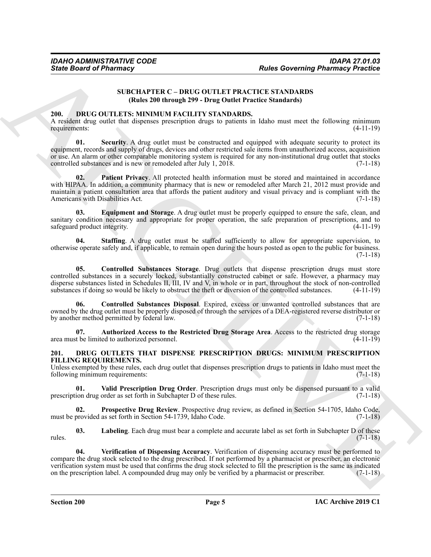#### <span id="page-4-8"></span>**SUBCHAPTER C – DRUG OUTLET PRACTICE STANDARDS (Rules 200 through 299 - Drug Outlet Practice Standards)**

#### <span id="page-4-2"></span><span id="page-4-0"></span>**200. DRUG OUTLETS: MINIMUM FACILITY STANDARDS.**

A resident drug outlet that dispenses prescription drugs to patients in Idaho must meet the following minimum requirements: (4-11-19)

Sinte Board of Pharmacy<br>
Sinte Board of Pharmacy<br>
SINCILIATIVE C - DRIC O OUTLET PRACTICE C STANDARDS<br>
(Ralas 200 through 299 - Dric G OUTLET PRACTICE C STANDARDS<br>
2010<br>
A realism drip coles that engines procedures are to **01.** Security. A drug outlet must be constructed and equipped with adequate security to protect its equipment, records and supply of drugs, devices and other restricted sale items from unauthorized access, acquisition or use. An alarm or other comparable monitoring system is required for any non-institutional drug outlet that stocks controlled substances and is new or remodeled after July 1, 2018. (7-1-18)

<span id="page-4-7"></span>Patient Privacy. All protected health information must be stored and maintained in accordance with HIPAA. In addition, a community pharmacy that is new or remodeled after March 21, 2012 must provide and maintain a patient consultation area that affords the patient auditory and visual privacy and is compliant with the Americans with Disabilities Act. (7-1-18)

<span id="page-4-6"></span>**03. Equipment and Storage**. A drug outlet must be properly equipped to ensure the safe, clean, and sanitary condition necessary and appropriate for proper operation, the safe preparation of prescriptions, and to safeguard product integrity. (4-11-19)

<span id="page-4-9"></span>**04. Staffing**. A drug outlet must be staffed sufficiently to allow for appropriate supervision, to otherwise operate safely and, if applicable, to remain open during the hours posted as open to the public for business. (7-1-18)

<span id="page-4-5"></span>**05. Controlled Substances Storage**. Drug outlets that dispense prescription drugs must store controlled substances in a securely locked, substantially constructed cabinet or safe. However, a pharmacy may disperse substances listed in Schedules II, III, IV and V, in whole or in part, throughout the stock of non-controlled substances if doing so would be likely to obstruct the theft or diversion of the controlled substances. substances if doing so would be likely to obstruct the theft or diversion of the controlled substances.

<span id="page-4-4"></span>**06. Controlled Substances Disposal**. Expired, excess or unwanted controlled substances that are owned by the drug outlet must be properly disposed of through the services of a DEA-registered reverse distributor or by another method permitted by federal law. (7-1-18)

<span id="page-4-3"></span>**07. Authorized Access to the Restricted Drug Storage Area**. Access to the restricted drug storage area must be limited to authorized personnel. (4-11-19)

#### <span id="page-4-10"></span><span id="page-4-1"></span>**201. DRUG OUTLETS THAT DISPENSE PRESCRIPTION DRUGS: MINIMUM PRESCRIPTION FILLING REQUIREMENTS.**

Unless exempted by these rules, each drug outlet that dispenses prescription drugs to patients in Idaho must meet the following minimum requirements: (7-1-18) following minimum requirements:

<span id="page-4-13"></span>**01. Valid Prescription Drug Order**. Prescription drugs must only be dispensed pursuant to a valid prescription drug order as set forth in Subchapter D of these rules. (7-1-18)

<span id="page-4-12"></span>**02. Prospective Drug Review**. Prospective drug review, as defined in Section 54-1705, Idaho Code, must be provided as set forth in Section 54-1739, Idaho Code.

<span id="page-4-11"></span>**03. Labeling**. Each drug must bear a complete and accurate label as set forth in Subchapter D of these rules. (7-1-18)

<span id="page-4-14"></span>**04. Verification of Dispensing Accuracy**. Verification of dispensing accuracy must be performed to compare the drug stock selected to the drug prescribed. If not performed by a pharmacist or prescriber, an electronic verification system must be used that confirms the drug stock selected to fill the prescription is the same as indicated on the prescription label. A compounded drug may only be verified by a pharmacist or prescriber. (7-1-18)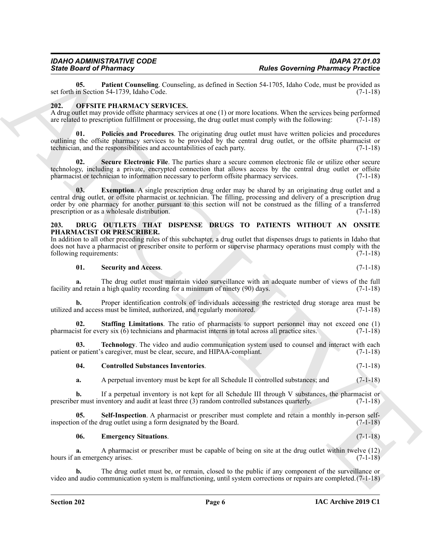<span id="page-5-9"></span>**05.** Patient Counseling. Counseling, as defined in Section 54-1705, Idaho Code, must be provided as in Section 54-1739, Idaho Code. (7-1-18) set forth in Section 54-1739, Idaho Code.

#### <span id="page-5-10"></span><span id="page-5-0"></span>**202. OFFSITE PHARMACY SERVICES.**

A drug outlet may provide offsite pharmacy services at one (1) or more locations. When the services being performed are related to prescription fulfillment or processing, the drug outlet must comply with the following: (7-1-18)

<span id="page-5-12"></span>**01. Policies and Procedures**. The originating drug outlet must have written policies and procedures outlining the offsite pharmacy services to be provided by the central drug outlet, or the offsite pharmacist or technician, and the responsibilities and accountabilities of each party. (7-1-18)

<span id="page-5-13"></span><span id="page-5-11"></span>**02. Secure Electronic File**. The parties share a secure common electronic file or utilize other secure technology, including a private, encrypted connection that allows access by the central drug outlet or offsite pharmacist or technician to information necessary to perform offsite pharmacy services. (7-1-18)

Since **Driver of Philosophers** Consenting a shelled at School 12-130, block Columbination Philosophers<br>
and the School 12-130 and the School 12-130 and the School 12-130 and the School 12-130 and the School 12-130<br>
ARCHIV **03. Exemption**. A single prescription drug order may be shared by an originating drug outlet and a central drug outlet, or offsite pharmacist or technician. The filling, processing and delivery of a prescription drug order by one pharmacy for another pursuant to this section will not be construed as the filling of a transferred prescription or as a wholesale distribution. (7-1-18)

#### <span id="page-5-2"></span><span id="page-5-1"></span>**203. DRUG OUTLETS THAT DISPENSE DRUGS TO PATIENTS WITHOUT AN ONSITE PHARMACIST OR PRESCRIBER.**

|                         | In addition to all other preceding rules of this subchapter, a drug outlet that dispenses drugs to patients in Idaho that |
|-------------------------|---------------------------------------------------------------------------------------------------------------------------|
|                         | does not have a pharmacist or prescriber onsite to perform or supervise pharmacy operations must comply with the          |
| following requirements: | $(7-1-18)$                                                                                                                |

## <span id="page-5-5"></span>**01. Security and Access**. (7-1-18)

**a.** The drug outlet must maintain video surveillance with an adequate number of views of the full facility and retain a high quality recording for a minimum of ninety (90) days. (7-1-18)

**b.** Proper identification controls of individuals accessing the restricted drug storage area must be utilized and access must be limited, authorized, and regularly monitored. (7-1-18)

<span id="page-5-7"></span>**02. Staffing Limitations**. The ratio of pharmacists to support personnel may not exceed one (1) pharmacist for every six (6) technicians and pharmacist interns in total across all practice sites. (7-1-18)

**03. Technology**. The video and audio communication system used to counsel and interact with each patient or patient's caregiver, must be clear, secure, and HIPAA-compliant. (7-1-18)

### <span id="page-5-8"></span><span id="page-5-3"></span>**04. Controlled Substances Inventories**. (7-1-18)

**a.** A perpetual inventory must be kept for all Schedule II controlled substances; and  $(7-1-18)$ 

**b.** If a perpetual inventory is not kept for all Schedule III through V substances, the pharmacist or r must inventory and audit at least three (3) random controlled substances quarterly. (7-1-18) prescriber must inventory and audit at least three  $(3)$  random controlled substances quarterly.

**Self-Inspection**. A pharmacist or prescriber must complete and retain a monthly in-person selfinspection of the drug outlet using a form designated by the Board.  $(7-1-18)$ 

#### <span id="page-5-6"></span><span id="page-5-4"></span>**06. Emergency Situations**. (7-1-18)

**a.** A pharmacist or prescriber must be capable of being on site at the drug outlet within twelve (12) hours if an emergency arises. (7-1-18)

**b.** The drug outlet must be, or remain, closed to the public if any component of the surveillance or video and audio communication system is malfunctioning, until system corrections or repairs are completed.(7-1-18)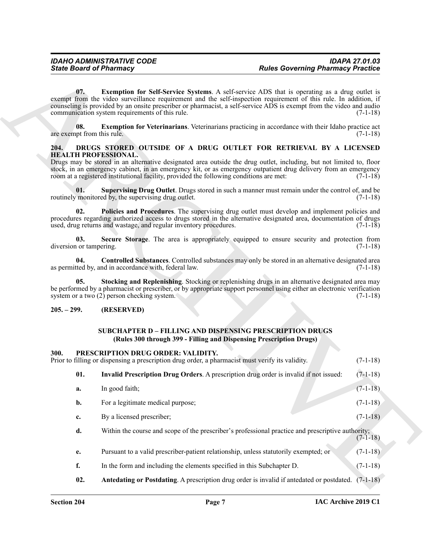#### <span id="page-6-10"></span><span id="page-6-7"></span><span id="page-6-5"></span><span id="page-6-4"></span><span id="page-6-3"></span><span id="page-6-0"></span>**204. DRUGS STORED OUTSIDE OF A DRUG OUTLET FOR RETRIEVAL BY A LICENSED HEALTH PROFESSIONAL.**

### <span id="page-6-8"></span><span id="page-6-6"></span><span id="page-6-2"></span><span id="page-6-1"></span>**205. – 299. (RESERVED)**

### <span id="page-6-13"></span><span id="page-6-12"></span><span id="page-6-11"></span><span id="page-6-9"></span>**SUBCHAPTER D – FILLING AND DISPENSING PRESCRIPTION DRUGS (Rules 300 through 399 - Filling and Dispensing Prescription Drugs)**

| <b>State Board of Pharmacy</b>      |                                                                                                                                                                                                                                                                                                                                                                                                        | <b>Rules Governing Pharmacy Practice</b> |            |
|-------------------------------------|--------------------------------------------------------------------------------------------------------------------------------------------------------------------------------------------------------------------------------------------------------------------------------------------------------------------------------------------------------------------------------------------------------|------------------------------------------|------------|
| 07.                                 | <b>Exemption for Self-Service Systems.</b> A self-service ADS that is operating as a drug outlet is<br>exempt from the video surveillance requirement and the self-inspection requirement of this rule. In addition, if<br>counseling is provided by an onsite prescriber or pharmacist, a self-service ADS is exempt from the video and audio<br>communication system requirements of this rule.      |                                          | $(7-1-18)$ |
| 08.<br>are exempt from this rule.   | <b>Exemption for Veterinarians.</b> Veterinarians practicing in accordance with their Idaho practice act                                                                                                                                                                                                                                                                                               |                                          | $(7-1-18)$ |
| 204.<br><b>HEALTH PROFESSIONAL.</b> | DRUGS STORED OUTSIDE OF A DRUG OUTLET FOR RETRIEVAL BY A LICENSED<br>Drugs may be stored in an alternative designated area outside the drug outlet, including, but not limited to, floor<br>stock, in an emergency cabinet, in an emergency kit, or as emergency outpatient drug delivery from an emergency<br>room at a registered institutional facility, provided the following conditions are met: |                                          | $(7-1-18)$ |
| 01.                                 | Supervising Drug Outlet. Drugs stored in such a manner must remain under the control of, and be<br>routinely monitored by, the supervising drug outlet.                                                                                                                                                                                                                                                |                                          | $(7-1-18)$ |
| 02.                                 | Policies and Procedures. The supervising drug outlet must develop and implement policies and<br>procedures regarding authorized access to drugs stored in the alternative designated area, documentation of drugs<br>used, drug returns and wastage, and regular inventory procedures.                                                                                                                 |                                          | $(7-1-18)$ |
| 03.<br>diversion or tampering.      | Secure Storage. The area is appropriately equipped to ensure security and protection from                                                                                                                                                                                                                                                                                                              |                                          | $(7-1-18)$ |
| 04.                                 | Controlled Substances. Controlled substances may only be stored in an alternative designated area<br>as permitted by, and in accordance with, federal law.                                                                                                                                                                                                                                             |                                          | $(7-1-18)$ |
| 05.                                 | Stocking and Replenishing. Stocking or replenishing drugs in an alternative designated area may<br>be performed by a pharmacist or prescriber, or by appropriate support personnel using either an electronic verification<br>system or a two (2) person checking system.                                                                                                                              |                                          | $(7-1-18)$ |
| $205. - 299.$                       | (RESERVED)                                                                                                                                                                                                                                                                                                                                                                                             |                                          |            |
|                                     | <b>SUBCHAPTER D – FILLING AND DISPENSING PRESCRIPTION DRUGS</b><br>(Rules 300 through 399 - Filling and Dispensing Prescription Drugs)                                                                                                                                                                                                                                                                 |                                          |            |
| 300.                                | PRESCRIPTION DRUG ORDER: VALIDITY.<br>Prior to filling or dispensing a prescription drug order, a pharmacist must verify its validity.                                                                                                                                                                                                                                                                 |                                          | $(7-1-18)$ |
| 01.                                 | Invalid Prescription Drug Orders. A prescription drug order is invalid if not issued:                                                                                                                                                                                                                                                                                                                  |                                          | $(7-1-18)$ |
| a.                                  | In good faith;                                                                                                                                                                                                                                                                                                                                                                                         |                                          | $(7-1-18)$ |
| b.                                  | For a legitimate medical purpose;                                                                                                                                                                                                                                                                                                                                                                      |                                          | $(7-1-18)$ |
| c.                                  | By a licensed prescriber;                                                                                                                                                                                                                                                                                                                                                                              |                                          | $(7-1-18)$ |
| d.                                  | Within the course and scope of the prescriber's professional practice and prescriptive authority;                                                                                                                                                                                                                                                                                                      |                                          | $(7-1-18)$ |
| e.                                  | Pursuant to a valid prescriber-patient relationship, unless statutorily exempted; or                                                                                                                                                                                                                                                                                                                   |                                          | $(7-1-18)$ |
| f.                                  | In the form and including the elements specified in this Subchapter D.                                                                                                                                                                                                                                                                                                                                 |                                          | $(7-1-18)$ |
| 02.                                 | Antedating or Postdating. A prescription drug order is invalid if antedated or postdated. (7-1-18)                                                                                                                                                                                                                                                                                                     |                                          |            |
|                                     |                                                                                                                                                                                                                                                                                                                                                                                                        |                                          |            |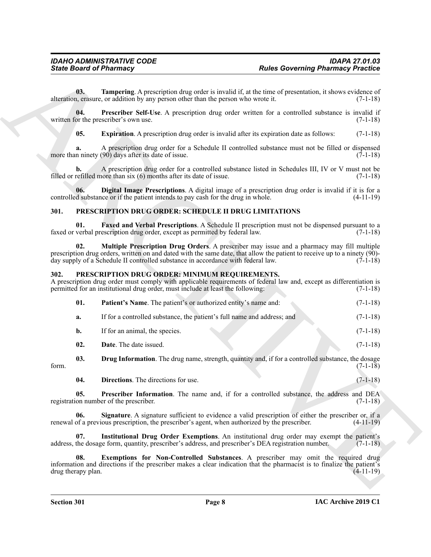### <span id="page-7-13"></span><span id="page-7-12"></span><span id="page-7-11"></span><span id="page-7-10"></span><span id="page-7-9"></span><span id="page-7-0"></span>**301. PRESCRIPTION DRUG ORDER: SCHEDULE II DRUG LIMITATIONS**

#### <span id="page-7-17"></span><span id="page-7-14"></span><span id="page-7-8"></span><span id="page-7-7"></span><span id="page-7-6"></span><span id="page-7-5"></span><span id="page-7-4"></span><span id="page-7-3"></span><span id="page-7-2"></span><span id="page-7-1"></span>**302. PRESCRIPTION DRUG ORDER: MINIMUM REQUIREMENTS.**

<span id="page-7-16"></span><span id="page-7-15"></span>

|                           | <b>State Board of Pharmacy</b>                                                                                                                                                                                                                                                                                     | <b>Rules Governing Pharmacy Practice</b> |             |
|---------------------------|--------------------------------------------------------------------------------------------------------------------------------------------------------------------------------------------------------------------------------------------------------------------------------------------------------------------|------------------------------------------|-------------|
| 03.                       | Tampering. A prescription drug order is invalid if, at the time of presentation, it shows evidence of<br>alteration, erasure, or addition by any person other than the person who wrote it.                                                                                                                        |                                          | $(7-1-18)$  |
| 04.                       | Prescriber Self-Use. A prescription drug order written for a controlled substance is invalid if<br>written for the prescriber's own use.                                                                                                                                                                           |                                          | $(7-1-18)$  |
| 05.                       | Expiration. A prescription drug order is invalid after its expiration date as follows:                                                                                                                                                                                                                             |                                          | $(7-1-18)$  |
| a.                        | A prescription drug order for a Schedule II controlled substance must not be filled or dispensed<br>more than ninety $(90)$ days after its date of issue.                                                                                                                                                          |                                          | $(7-1-18)$  |
| b.                        | A prescription drug order for a controlled substance listed in Schedules III, IV or V must not be<br>filled or refilled more than $six(6)$ months after its date of issue.                                                                                                                                         |                                          | $(7-1-18)$  |
| 06.                       | Digital Image Prescriptions. A digital image of a prescription drug order is invalid if it is for a<br>controlled substance or if the patient intends to pay cash for the drug in whole.                                                                                                                           |                                          | $(4-11-19)$ |
| 301.                      | PRESCRIPTION DRUG ORDER: SCHEDULE II DRUG LIMITATIONS                                                                                                                                                                                                                                                              |                                          |             |
| 01.                       | Faxed and Verbal Prescriptions. A Schedule II prescription must not be dispensed pursuant to a<br>faxed or verbal prescription drug order, except as permitted by federal law.                                                                                                                                     |                                          | $(7-1-18)$  |
| 02.                       | <b>Multiple Prescription Drug Orders.</b> A prescriber may issue and a pharmacy may fill multiple<br>prescription drug orders, written on and dated with the same date, that allow the patient to receive up to a ninety (90)-<br>day supply of a Schedule II controlled substance in accordance with federal law. |                                          | $(7-1-18)$  |
| 302.                      | PRESCRIPTION DRUG ORDER: MINIMUM REQUIREMENTS.<br>A prescription drug order must comply with applicable requirements of federal law and, except as differentiation is<br>permitted for an institutional drug order, must include at least the following:                                                           |                                          | $(7-1-18)$  |
| 01.                       | Patient's Name. The patient's or authorized entity's name and:                                                                                                                                                                                                                                                     |                                          | $(7-1-18)$  |
| a.                        | If for a controlled substance, the patient's full name and address; and                                                                                                                                                                                                                                            |                                          | $(7-1-18)$  |
| b.                        | If for an animal, the species.                                                                                                                                                                                                                                                                                     |                                          | $(7-1-18)$  |
| 02.                       | Date. The date issued.                                                                                                                                                                                                                                                                                             |                                          | $(7-1-18)$  |
| 03.<br>form.              | Drug Information. The drug name, strength, quantity and, if for a controlled substance, the dosage                                                                                                                                                                                                                 |                                          | $(7-1-18)$  |
| 04.                       | Directions. The directions for use.                                                                                                                                                                                                                                                                                |                                          | $(7-1-18)$  |
| 05.                       | Prescriber Information. The name and, if for a controlled substance, the address and DEA<br>registration number of the prescriber.                                                                                                                                                                                 |                                          | $(7-1-18)$  |
| 06.                       | Signature. A signature sufficient to evidence a valid prescription of either the prescriber or, if a<br>renewal of a previous prescription, the prescriber's agent, when authorized by the prescriber.                                                                                                             |                                          | $(4-11-19)$ |
| 07.                       | Institutional Drug Order Exemptions. An institutional drug order may exempt the patient's<br>address, the dosage form, quantity, prescriber's address, and prescriber's DEA registration number.                                                                                                                   |                                          | $(7-1-18)$  |
| 08.<br>drug therapy plan. | Exemptions for Non-Controlled Substances. A prescriber may omit the required drug<br>information and directions if the prescriber makes a clear indication that the pharmacist is to finalize the patient's                                                                                                        |                                          | $(4-11-19)$ |
|                           |                                                                                                                                                                                                                                                                                                                    |                                          |             |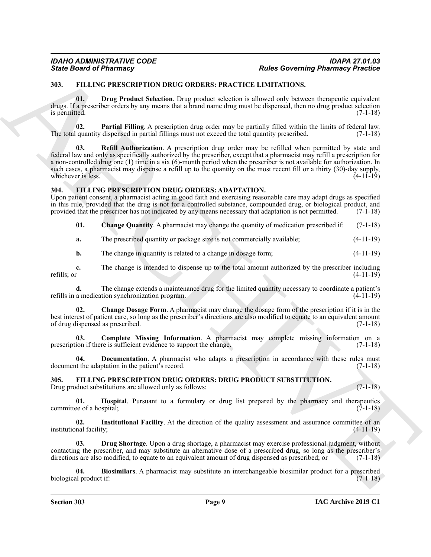### <span id="page-8-13"></span><span id="page-8-0"></span>**303. FILLING PRESCRIPTION DRUG ORDERS: PRACTICE LIMITATIONS.**

<span id="page-8-14"></span>**01. Drug Product Selection**. Drug product selection is allowed only between therapeutic equivalent drugs. If a prescriber orders by any means that a brand name drug must be dispensed, then no drug product selection is permitted. (7-1-18)

<span id="page-8-16"></span><span id="page-8-15"></span>**02. Partial Filling**. A prescription drug order may be partially filled within the limits of federal law. The total quantity dispensed in partial fillings must not exceed the total quantity prescribed. (7-1-18)

**Book of a Phistimacy** TPL Consequence of the Consentration of the Consentration of the Consentration of the Consentration of the Consentration of the Consentration of the Consentration of the Consentration of the Consent **Refill Authorization**. A prescription drug order may be refilled when permitted by state and federal law and only as specifically authorized by the prescriber, except that a pharmacist may refill a prescription for a non-controlled drug one (1) time in a six (6)-month period when the prescriber is not available for authorization. In such cases, a pharmacist may dispense a refill up to the quantity on the most recent fill or a thirty (30)-day supply, whichever is less. (4-11-19)

#### <span id="page-8-3"></span><span id="page-8-1"></span>**304. FILLING PRESCRIPTION DRUG ORDERS: ADAPTATION.**

Upon patient consent, a pharmacist acting in good faith and exercising reasonable care may adapt drugs as specified in this rule, provided that the drug is not for a controlled substance, compounded drug, or biological product, and provided that the prescriber has not indicated by any means necessary that adaptation is not permitted. (7-1-18)

- <span id="page-8-5"></span>**01.** Change Quantity. A pharmacist may change the quantity of medication prescribed if: (7-1-18)
- **a.** The prescribed quantity or package size is not commercially available; (4-11-19)
- **b.** The change in quantity is related to a change in dosage form;  $(4-11-19)$

**c.** The change is intended to dispense up to the total amount authorized by the prescriber including refills; or  $(4-11-19)$ refills; or  $(4-11-19)$ 

**d.** The change extends a maintenance drug for the limited quantity necessary to coordinate a patient's a medication synchronization program.  $(4-11-19)$ refills in a medication synchronization program.

<span id="page-8-4"></span>**02. Change Dosage Form**. A pharmacist may change the dosage form of the prescription if it is in the best interest of patient care, so long as the prescriber's directions are also modified to equate to an equivalent amount of drug dispensed as prescribed. (7-1-18) of drug dispensed as prescribed.

<span id="page-8-6"></span>**03. Complete Missing Information**. A pharmacist may complete missing information on a prescription if there is sufficient evidence to support the change. (7-1-18)

<span id="page-8-7"></span>**04. Documentation**. A pharmacist who adapts a prescription in accordance with these rules must document the adaptation in the patient's record. (7-1-18)

#### <span id="page-8-8"></span><span id="page-8-2"></span>**305. FILLING PRESCRIPTION DRUG ORDERS: DRUG PRODUCT SUBSTITUTION.** Drug product substitutions are allowed only as follows: (7-1-18)

<span id="page-8-11"></span>**01. Hospital**. Pursuant to a formulary or drug list prepared by the pharmacy and therapeutics committee of a hospital; (7-1-18)

<span id="page-8-12"></span>**02.** Institutional Facility. At the direction of the quality assessment and assurance committee of an nal facility; (4-11-19) institutional facility;

<span id="page-8-10"></span>**Drug Shortage**. Upon a drug shortage, a pharmacist may exercise professional judgment, without contacting the prescriber, and may substitute an alternative dose of a prescribed drug, so long as the prescriber's directions are also modified, to equate to an equivalent amount of drug dispensed as prescribed; or (7-1-18)

<span id="page-8-9"></span>**04. Biosimilars**. A pharmacist may substitute an interchangeable biosimilar product for a prescribed biological product if:  $(7-1-18)$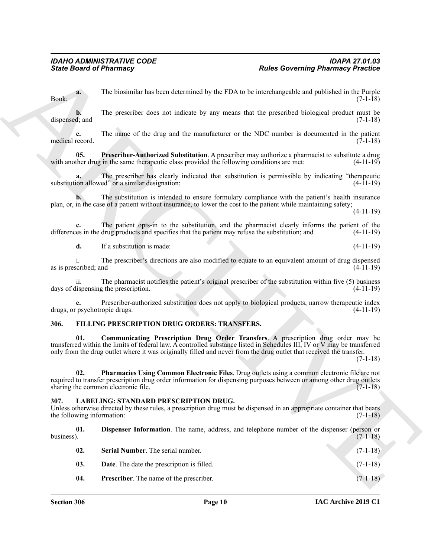### <span id="page-9-4"></span><span id="page-9-3"></span><span id="page-9-0"></span>**306. FILLING PRESCRIPTION DRUG ORDERS: TRANSFERS.**

#### <span id="page-9-10"></span><span id="page-9-9"></span><span id="page-9-8"></span><span id="page-9-7"></span><span id="page-9-6"></span><span id="page-9-5"></span><span id="page-9-1"></span>**307. LABELING: STANDARD PRESCRIPTION DRUG.**

<span id="page-9-2"></span>

|                                     | <b>State Board of Pharmacy</b>                                                                   | <b>Rules Governing Pharmacy Practice</b>                                                                                                                                                                                                                                                                                                           |
|-------------------------------------|--------------------------------------------------------------------------------------------------|----------------------------------------------------------------------------------------------------------------------------------------------------------------------------------------------------------------------------------------------------------------------------------------------------------------------------------------------------|
| a.<br>Book;                         |                                                                                                  | The biosimilar has been determined by the FDA to be interchangeable and published in the Purple<br>$(7-1-18)$                                                                                                                                                                                                                                      |
| b.<br>dispensed; and                |                                                                                                  | The prescriber does not indicate by any means that the prescribed biological product must be<br>$(7-1-18)$                                                                                                                                                                                                                                         |
| c.<br>medical record.               |                                                                                                  | The name of the drug and the manufacturer or the NDC number is documented in the patient<br>$(7-1-18)$                                                                                                                                                                                                                                             |
| 05.                                 | with another drug in the same therapeutic class provided the following conditions are met:       | Prescriber-Authorized Substitution. A prescriber may authorize a pharmacist to substitute a drug<br>$(4-11-19)$                                                                                                                                                                                                                                    |
|                                     | substitution allowed" or a similar designation;                                                  | The prescriber has clearly indicated that substitution is permissible by indicating "therapeutic<br>$(4-11-19)$                                                                                                                                                                                                                                    |
|                                     |                                                                                                  | The substitution is intended to ensure formulary compliance with the patient's health insurance<br>plan, or, in the case of a patient without insurance, to lower the cost to the patient while maintaining safety;<br>$(4-11-19)$                                                                                                                 |
|                                     | differences in the drug products and specifies that the patient may refuse the substitution; and | The patient opts-in to the substitution, and the pharmacist clearly informs the patient of the<br>$(4-11-19)$                                                                                                                                                                                                                                      |
| d.                                  | If a substitution is made:                                                                       | $(4-11-19)$                                                                                                                                                                                                                                                                                                                                        |
| as is prescribed; and               |                                                                                                  | The prescriber's directions are also modified to equate to an equivalent amount of drug dispensed<br>$(4-11-19)$                                                                                                                                                                                                                                   |
| 11.                                 | days of dispensing the prescription.                                                             | The pharmacist notifies the patient's original prescriber of the substitution within five (5) business<br>$(4-11-19)$                                                                                                                                                                                                                              |
| e.<br>drugs, or psychotropic drugs. |                                                                                                  | Prescriber-authorized substitution does not apply to biological products, narrow therapeutic index<br>$(4-11-19)$                                                                                                                                                                                                                                  |
| 306.                                | FILLING PRESCRIPTION DRUG ORDERS: TRANSFERS.                                                     |                                                                                                                                                                                                                                                                                                                                                    |
| 01.                                 |                                                                                                  | Communicating Prescription Drug Order Transfers. A prescription drug order may be<br>transferred within the limits of federal law. A controlled substance listed in Schedules III, IV or V may be transferred<br>only from the drug outlet where it was originally filled and never from the drug outlet that received the transfer.<br>$(7-1-18)$ |
| 02.                                 | sharing the common electronic file.                                                              | Pharmacies Using Common Electronic Files. Drug outlets using a common electronic file are not<br>required to transfer prescription drug order information for dispensing purposes between or among other drug outlets<br>$(7-1-18)$                                                                                                                |
| 307.<br>the following information:  | <b>LABELING: STANDARD PRESCRIPTION DRUG.</b>                                                     | Unless otherwise directed by these rules, a prescription drug must be dispensed in an appropriate container that bears<br>$(7-1-18)$                                                                                                                                                                                                               |
| 01.<br>business).                   |                                                                                                  | Dispenser Information. The name, address, and telephone number of the dispenser (person or<br>$(7-1-18)$                                                                                                                                                                                                                                           |
| 02.                                 | Serial Number. The serial number.                                                                | $(7-1-18)$                                                                                                                                                                                                                                                                                                                                         |
| 03.                                 | Date. The date the prescription is filled.                                                       | $(7-1-18)$                                                                                                                                                                                                                                                                                                                                         |
|                                     | Prescriber. The name of the prescriber.                                                          | $(7-1-18)$                                                                                                                                                                                                                                                                                                                                         |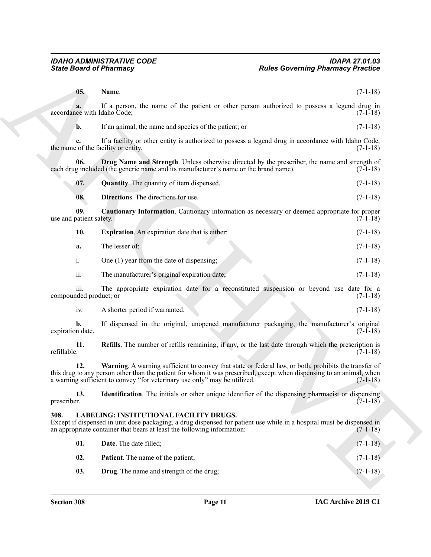<span id="page-10-13"></span><span id="page-10-12"></span><span id="page-10-11"></span><span id="page-10-10"></span><span id="page-10-9"></span><span id="page-10-8"></span><span id="page-10-7"></span><span id="page-10-6"></span><span id="page-10-5"></span><span id="page-10-4"></span><span id="page-10-3"></span><span id="page-10-2"></span><span id="page-10-1"></span><span id="page-10-0"></span>

| <b>State Board of Pharmacy</b>    |                                                                                                                    | <b>Rules Governing Pharmacy Practice</b>                                                                                                                                                                                                    |  |
|-----------------------------------|--------------------------------------------------------------------------------------------------------------------|---------------------------------------------------------------------------------------------------------------------------------------------------------------------------------------------------------------------------------------------|--|
| 05.                               | Name.                                                                                                              | $(7-1-18)$                                                                                                                                                                                                                                  |  |
| a.<br>accordance with Idaho Code; |                                                                                                                    | If a person, the name of the patient or other person authorized to possess a legend drug in<br>$(7-1-18)$                                                                                                                                   |  |
| b.                                | If an animal, the name and species of the patient; or                                                              | $(7-1-18)$                                                                                                                                                                                                                                  |  |
|                                   | the name of the facility or entity.                                                                                | If a facility or other entity is authorized to possess a legend drug in accordance with Idaho Code,<br>$(7-1-18)$                                                                                                                           |  |
| 06.                               | each drug included (the generic name and its manufacturer's name or the brand name).                               | <b>Drug Name and Strength.</b> Unless otherwise directed by the prescriber, the name and strength of<br>$(7-1-18)$                                                                                                                          |  |
| 07.                               | <b>Quantity.</b> The quantity of item dispensed.                                                                   | $(7-1-18)$                                                                                                                                                                                                                                  |  |
| 08.                               | Directions. The directions for use.                                                                                | $(7-1-18)$                                                                                                                                                                                                                                  |  |
| 09.<br>use and patient safety.    |                                                                                                                    | Cautionary Information. Cautionary information as necessary or deemed appropriate for proper<br>$(7-1-18)$                                                                                                                                  |  |
| 10.                               | <b>Expiration.</b> An expiration date that is either:                                                              | $(7-1-18)$                                                                                                                                                                                                                                  |  |
| a.                                | The lesser of:                                                                                                     | $(7-1-18)$                                                                                                                                                                                                                                  |  |
| i.                                | One (1) year from the date of dispensing;                                                                          | $(7-1-18)$                                                                                                                                                                                                                                  |  |
| ii.                               | The manufacturer's original expiration date;                                                                       | $(7-1-18)$                                                                                                                                                                                                                                  |  |
| 111.<br>compounded product; or    |                                                                                                                    | The appropriate expiration date for a reconstituted suspension or beyond use date for a<br>$(7-1-18)$                                                                                                                                       |  |
| iv.                               | A shorter period if warranted.                                                                                     | $(7-1-18)$                                                                                                                                                                                                                                  |  |
| b.<br>expiration date.            |                                                                                                                    | If dispensed in the original, unopened manufacturer packaging, the manufacturer's original<br>$(7-1-18)$                                                                                                                                    |  |
| 11.<br>refillable.                |                                                                                                                    | <b>Refills</b> . The number of refills remaining, if any, or the last date through which the prescription is<br>$(7-1-18)$                                                                                                                  |  |
| 12.                               | a warning sufficient to convey "for veterinary use only" may be utilized.                                          | Warning. A warning sufficient to convey that state or federal law, or both, prohibits the transfer of<br>this drug to any person other than the patient for whom it was prescribed, except when dispensing to an animal, when<br>$(7-1-18)$ |  |
| 13.<br>prescriber.                |                                                                                                                    | <b>Identification</b> . The initials or other unique identifier of the dispensing pharmacist or dispensing<br>$(7-1-18)$                                                                                                                    |  |
| 308.                              | LABELING: INSTITUTIONAL FACILITY DRUGS.<br>an appropriate container that bears at least the following information: | Except if dispensed in unit dose packaging, a drug dispensed for patient use while in a hospital must be dispensed in<br>$(7-1-18)$                                                                                                         |  |
| 01.                               | Date. The date filled;                                                                                             | $(7-1-18)$                                                                                                                                                                                                                                  |  |
| 02.                               | Patient. The name of the patient;                                                                                  | $(7-1-18)$                                                                                                                                                                                                                                  |  |
|                                   |                                                                                                                    |                                                                                                                                                                                                                                             |  |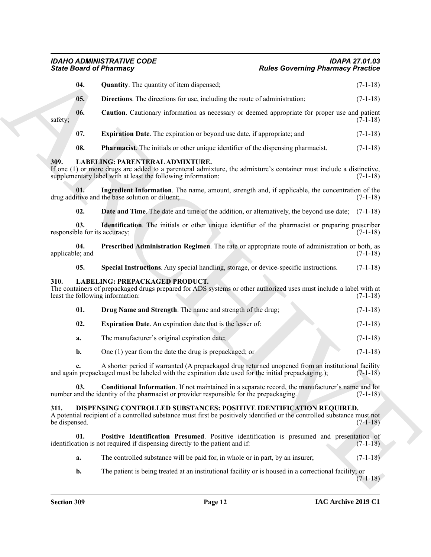## <span id="page-11-19"></span><span id="page-11-18"></span><span id="page-11-17"></span><span id="page-11-16"></span><span id="page-11-15"></span><span id="page-11-14"></span><span id="page-11-13"></span><span id="page-11-12"></span><span id="page-11-11"></span><span id="page-11-10"></span><span id="page-11-9"></span><span id="page-11-8"></span><span id="page-11-7"></span><span id="page-11-6"></span><span id="page-11-5"></span><span id="page-11-4"></span><span id="page-11-3"></span><span id="page-11-0"></span>*IDAHO ADMINISTRATIVE CODE IDAPA 27.01.03*

<span id="page-11-2"></span><span id="page-11-1"></span>

|                                      | <b>State Board of Pharmacy</b>                                                                                                                                                                                         | <b>Rules Governing Pharmacy Practice</b> |            |
|--------------------------------------|------------------------------------------------------------------------------------------------------------------------------------------------------------------------------------------------------------------------|------------------------------------------|------------|
| 04.                                  | <b>Quantity.</b> The quantity of item dispensed;                                                                                                                                                                       |                                          | $(7-1-18)$ |
| 05.                                  | <b>Directions.</b> The directions for use, including the route of administration;                                                                                                                                      |                                          | $(7-1-18)$ |
| 06.<br>safety;                       | Caution. Cautionary information as necessary or deemed appropriate for proper use and patient                                                                                                                          |                                          | $(7-1-18)$ |
| 07.                                  | Expiration Date. The expiration or beyond use date, if appropriate; and                                                                                                                                                |                                          | $(7-1-18)$ |
| 08.                                  | <b>Pharmacist</b> . The initials or other unique identifier of the dispensing pharmacist.                                                                                                                              |                                          | $(7-1-18)$ |
| 309.                                 | LABELING: PARENTERAL ADMIXTURE.<br>If one (1) or more drugs are added to a parenteral admixture, the admixture's container must include a distinctive,<br>supplementary label with at least the following information: |                                          | $(7-1-18)$ |
| 01.                                  | Ingredient Information. The name, amount, strength and, if applicable, the concentration of the<br>drug additive and the base solution or diluent;                                                                     |                                          | $(7-1-18)$ |
| 02.                                  | Date and Time. The date and time of the addition, or alternatively, the beyond use date; (7-1-18)                                                                                                                      |                                          |            |
| 03.<br>responsible for its accuracy; | <b>Identification</b> . The initials or other unique identifier of the pharmacist or preparing prescriber                                                                                                              |                                          | $(7-1-18)$ |
| 04.<br>applicable; and               | Prescribed Administration Regimen. The rate or appropriate route of administration or both, as                                                                                                                         |                                          | $(7-1-18)$ |
| 05.                                  | Special Instructions. Any special handling, storage, or device-specific instructions.                                                                                                                                  |                                          | $(7-1-18)$ |
| 310.                                 | <b>LABELING: PREPACKAGED PRODUCT.</b><br>The containers of prepackaged drugs prepared for ADS systems or other authorized uses must include a label with at<br>least the following information:                        |                                          | $(7-1-18)$ |
| 01.                                  | Drug Name and Strength. The name and strength of the drug;                                                                                                                                                             |                                          | $(7-1-18)$ |
| 02.                                  | <b>Expiration Date.</b> An expiration date that is the lesser of:                                                                                                                                                      |                                          | $(7-1-18)$ |
| a.                                   | The manufacturer's original expiration date;                                                                                                                                                                           |                                          | $(7-1-18)$ |
| b.                                   | One $(1)$ year from the date the drug is prepackaged; or                                                                                                                                                               |                                          | $(7-1-18)$ |
|                                      | A shorter period if warranted (A prepackaged drug returned unopened from an institutional facility<br>and again prepackaged must be labeled with the expiration date used for the initial prepackaging.);              |                                          | $(7-1-18)$ |
| 03.                                  | <b>Conditional Information.</b> If not maintained in a separate record, the manufacturer's name and lot<br>number and the identity of the pharmacist or provider responsible for the prepackaging.                     |                                          | $(7-1-18)$ |
| 311.<br>be dispensed.                | DISPENSING CONTROLLED SUBSTANCES: POSITIVE IDENTIFICATION REQUIRED.<br>A potential recipient of a controlled substance must first be positively identified or the controlled substance must not                        |                                          | $(7-1-18)$ |
| 01.                                  | Positive Identification Presumed. Positive identification is presumed and presentation of<br>identification is not required if dispensing directly to the patient and if:                                              |                                          | $(7-1-18)$ |
| a.                                   | The controlled substance will be paid for, in whole or in part, by an insurer;                                                                                                                                         |                                          | $(7-1-18)$ |
| b.                                   | The patient is being treated at an institutional facility or is housed in a correctional facility; or                                                                                                                  |                                          | $(7-1-18)$ |
|                                      |                                                                                                                                                                                                                        |                                          |            |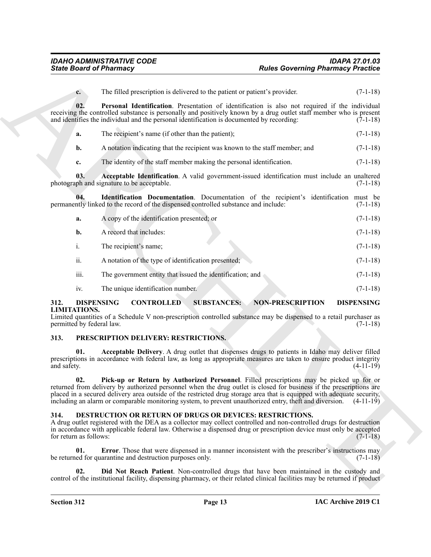<span id="page-12-9"></span><span id="page-12-7"></span>

|                                | <b>State Board of Pharmacy</b>                                                                                                                                                                                                                                                                                                                           | <b>Rules Governing Pharmacy Practice</b>                                                         |                                                        |
|--------------------------------|----------------------------------------------------------------------------------------------------------------------------------------------------------------------------------------------------------------------------------------------------------------------------------------------------------------------------------------------------------|--------------------------------------------------------------------------------------------------|--------------------------------------------------------|
| $c_{\cdot}$                    | The filled prescription is delivered to the patient or patient's provider.                                                                                                                                                                                                                                                                               |                                                                                                  | $(7-1-18)$                                             |
| 02.                            | receiving the controlled substance is personally and positively known by a drug outlet staff member who is present<br>and identifies the individual and the personal identification is documented by recording:                                                                                                                                          | Personal Identification. Presentation of identification is also not required if the individual   | $(7-1-18)$                                             |
| a.                             | The recipient's name (if other than the patient);                                                                                                                                                                                                                                                                                                        |                                                                                                  | $(7-1-18)$                                             |
| b.                             | A notation indicating that the recipient was known to the staff member; and                                                                                                                                                                                                                                                                              |                                                                                                  | $(7-1-18)$                                             |
| c.                             | The identity of the staff member making the personal identification.                                                                                                                                                                                                                                                                                     |                                                                                                  | $(7-1-18)$                                             |
| 03.                            | photograph and signature to be acceptable.                                                                                                                                                                                                                                                                                                               | Acceptable Identification. A valid government-issued identification must include an unaltered    | $(7-1-18)$                                             |
| 04.                            | permanently linked to the record of the dispensed controlled substance and include:                                                                                                                                                                                                                                                                      | <b>Identification Documentation</b> . Documentation of the recipient's identification must be    | $(7-1-18)$                                             |
| a.                             | A copy of the identification presented; or                                                                                                                                                                                                                                                                                                               |                                                                                                  | $(7-1-18)$                                             |
| $\mathbf{b}$ .                 | A record that includes:                                                                                                                                                                                                                                                                                                                                  |                                                                                                  | $(7-1-18)$                                             |
| i.                             | The recipient's name;                                                                                                                                                                                                                                                                                                                                    |                                                                                                  | $(7-1-18)$                                             |
| ii.                            | A notation of the type of identification presented;                                                                                                                                                                                                                                                                                                      |                                                                                                  | $(7-1-18)$                                             |
| iii.                           | The government entity that issued the identification; and                                                                                                                                                                                                                                                                                                |                                                                                                  | $(7-1-18)$                                             |
| iv.                            | The unique identification number.                                                                                                                                                                                                                                                                                                                        |                                                                                                  | $(7-1-18)$                                             |
| 312.<br><b>LIMITATIONS.</b>    | <b>DISPENSING</b><br><b>CONTROLLED</b><br>Limited quantities of a Schedule V non-prescription controlled substance may be dispensed to a retail purchaser as                                                                                                                                                                                             | <b>SUBSTANCES:</b><br><b>NON-PRESCRIPTION</b>                                                    | <b>DISPENSING</b><br>$(7-1-18)$                        |
|                                | permitted by federal law.                                                                                                                                                                                                                                                                                                                                |                                                                                                  |                                                        |
| 313.                           | PRESCRIPTION DELIVERY: RESTRICTIONS.                                                                                                                                                                                                                                                                                                                     |                                                                                                  |                                                        |
| 01.<br>and safety.             | prescriptions in accordance with federal law, as long as appropriate measures are taken to ensure product integrity                                                                                                                                                                                                                                      | Acceptable Delivery. A drug outlet that dispenses drugs to patients in Idaho may deliver filled  |                                                        |
|                                | returned from delivery by authorized personnel when the drug outlet is closed for business if the prescriptions are<br>placed in a secured delivery area outside of the restricted drug storage area that is equipped with adequate security,<br>including an alarm or comparable monitoring system, to prevent unauthorized entry, theft and diversion. | Pick-up or Return by Authorized Personnel. Filled prescriptions may be picked up for or          |                                                        |
| 314.<br>for return as follows: | DESTRUCTION OR RETURN OF DRUGS OR DEVICES: RESTRICTIONS.<br>A drug outlet registered with the DEA as a collector may collect controlled and non-controlled drugs for destruction<br>in accordance with applicable federal law. Otherwise a dispensed drug or prescription device must only be accepted                                                   |                                                                                                  |                                                        |
| 01.                            | be returned for quarantine and destruction purposes only.                                                                                                                                                                                                                                                                                                | Error. Those that were dispensed in a manner inconsistent with the prescriber's instructions may | $(4-11-19)$<br>$(4-11-19)$<br>$(7-1-18)$<br>$(7-1-18)$ |

## <span id="page-12-12"></span><span id="page-12-11"></span><span id="page-12-10"></span><span id="page-12-8"></span><span id="page-12-6"></span><span id="page-12-1"></span><span id="page-12-0"></span>**313. PRESCRIPTION DELIVERY: RESTRICTIONS.**

## <span id="page-12-5"></span><span id="page-12-4"></span><span id="page-12-3"></span><span id="page-12-2"></span>**314. DESTRUCTION OR RETURN OF DRUGS OR DEVICES: RESTRICTIONS.**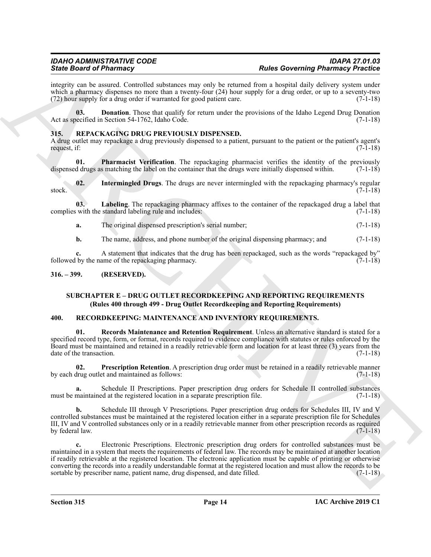integrity can be assured. Controlled substances may only be returned from a hospital daily delivery system under which a pharmacy dispenses no more than a twenty-four  $(24)$  hour supply for a drug order, or up to a seventy-two (72) hour supply for a drug order if warranted for good patient care. (7-1-18)

<span id="page-13-3"></span>**03. Donation**. Those that qualify for return under the provisions of the Idaho Legend Drug Donation Act as specified in Section 54-1762, Idaho Code. (7-1-18)

### <span id="page-13-7"></span><span id="page-13-0"></span>**315. REPACKAGING DRUG PREVIOUSLY DISPENSED.**

A drug outlet may repackage a drug previously dispensed to a patient, pursuant to the patient or the patient's agent's request, if: (7-1-18)

<span id="page-13-10"></span>**01.** Pharmacist Verification. The repackaging pharmacist verifies the identity of the previously d drugs as matching the label on the container that the drugs were initially dispensed within. (7-1-18) dispensed drugs as matching the label on the container that the drugs were initially dispensed within.

<span id="page-13-8"></span>**02.** Intermingled Drugs. The drugs are never intermingled with the repackaging pharmacy's regular (7-1-18) stock. (7-1-18)

**03. Labeling**. The repackaging pharmacy affixes to the container of the repackaged drug a label that complies with the standard labeling rule and includes: (7-1-18)

<span id="page-13-9"></span>**a.** The original dispensed prescription's serial number; (7-1-18)

**b.** The name, address, and phone number of the original dispensing pharmacy; and  $(7-1-18)$ 

**c.** A statement that indicates that the drug has been repackaged, such as the words "repackaged by" by the name of the repackaging pharmacy. (7-1-18) followed by the name of the repackaging pharmacy.

#### <span id="page-13-1"></span>**316. – 399. (RESERVED).**

### <span id="page-13-6"></span><span id="page-13-4"></span>**SUBCHAPTER E – DRUG OUTLET RECORDKEEPING AND REPORTING REQUIREMENTS (Rules 400 through 499 - Drug Outlet Recordkeeping and Reporting Requirements)**

#### <span id="page-13-2"></span>**400. RECORDKEEPING: MAINTENANCE AND INVENTORY REQUIREMENTS.**

**01. Records Maintenance and Retention Requirement**. Unless an alternative standard is stated for a specified record type, form, or format, records required to evidence compliance with statutes or rules enforced by the Board must be maintained and retained in a readily retrievable form and location for at least three (3) years from the date of the transaction. (7-1-18)

<span id="page-13-5"></span>**02. Prescription Retention**. A prescription drug order must be retained in a readily retrievable manner by each drug outlet and maintained as follows: (7-1-18)

**a.** Schedule II Prescriptions. Paper prescription drug orders for Schedule II controlled substances must be maintained at the registered location in a separate prescription file. (7-1-18)

**b.** Schedule III through V Prescriptions. Paper prescription drug orders for Schedules III, IV and V controlled substances must be maintained at the registered location either in a separate prescription file for Schedules III, IV and V controlled substances only or in a readily retrievable manner from other prescription records as required<br>(7-1-18) by federal law.

Since their differences that the state of the state of the state of the state of the state of the state of the state of the state of the state of the state of the state of the state of the state of the state of the state **c.** Electronic Prescriptions. Electronic prescription drug orders for controlled substances must be maintained in a system that meets the requirements of federal law. The records may be maintained at another location if readily retrievable at the registered location. The electronic application must be capable of printing or otherwise converting the records into a readily understandable format at the registered location and must allow the records to be sortable by prescriber name, patient name, drug dispensed, and date filled. (7-1-18)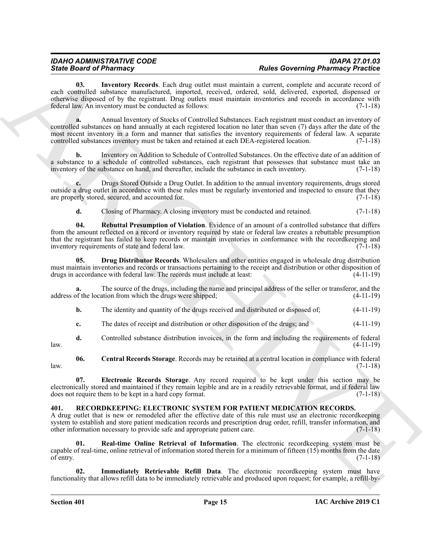<span id="page-14-7"></span>**03. Inventory Records**. Each drug outlet must maintain a current, complete and accurate record of each controlled substance manufactured, imported, received, ordered, sold, delivered, exported, dispensed or otherwise disposed of by the registrant. Drug outlets must maintain inventories and records in accordance with federal law. An inventory must be conducted as follows: (7-1-18)

Since Brazil Partners Herech, the specific and particles and particles are considered in the specific and the specific and the specific and the specific and the specific and the specific and the specific and the specific **a.** Annual Inventory of Stocks of Controlled Substances. Each registrant must conduct an inventory of controlled substances on hand annually at each registered location no later than seven (7) days after the date of the most recent inventory in a form and manner that satisfies the inventory requirements of federal law. A separate controlled substances inventory must be taken and retained at each DEA-registered location. (7-1-18)

**b.** Inventory on Addition to Schedule of Controlled Substances. On the effective date of an addition of a substance to a schedule of controlled substances, each registrant that possesses that substance must take an inventory of the substance on hand, and thereafter, include the substance in each inventory. (7-1-18) inventory of the substance on hand, and thereafter, include the substance in each inventory.

**c.** Drugs Stored Outside a Drug Outlet. In addition to the annual inventory requirements, drugs stored outside a drug outlet in accordance with these rules must be regularly inventoried and inspected to ensure that they are properly stored, secured, and accounted for. (7-1-18) are properly stored, secured, and accounted for.

<span id="page-14-8"></span><span id="page-14-5"></span>**d.** Closing of Pharmacy. A closing inventory must be conducted and retained.  $(7-1-18)$ 

**04. Rebuttal Presumption of Violation**. Evidence of an amount of a controlled substance that differs from the amount reflected on a record or inventory required by state or federal law creates a rebuttable presumption that the registrant has failed to keep records or maintain inventories in conformance with the recordkeeping and inventory requirements of state and federal law. (7-1-18)

**05. Drug Distributor Records**. Wholesalers and other entities engaged in wholesale drug distribution must maintain inventories and records or transactions pertaining to the receipt and distribution or other disposition of drugs in accordance with federal law. The records must include at least: (4-11-19)

The source of the drugs, including the name and principal address of the seller or transferor, and the ation from which the drugs were shipped; (4-11-19) address of the location from which the drugs were shipped;

**b.** The identity and quantity of the drugs received and distributed or disposed of;  $(4-11-19)$ 

<span id="page-14-4"></span>**c.** The dates of receipt and distribution or other disposition of the drugs; and (4-11-19)

**d.** Controlled substance distribution invoices, in the form and including the requirements of federal law. (4-11-19)

**06. Central Records Storage**. Records may be retained at a central location in compliance with federal  $l$ aw.  $(7-1-18)$ 

<span id="page-14-6"></span>**07. Electronic Records Storage**. Any record required to be kept under this section may be electronically stored and maintained if they remain legible and are in a readily retrievable format, and if federal law does not require them to be kept in a hard copy format. (7-1-18)

### <span id="page-14-1"></span><span id="page-14-0"></span>**401. RECORDKEEPING: ELECTRONIC SYSTEM FOR PATIENT MEDICATION RECORDS.**

A drug outlet that is new or remodeled after the effective date of this rule must use an electronic recordkeeping system to establish and store patient medication records and prescription drug order, refill, transfer information, and other information necessary to provide safe and appropriate patient care. (7-1-18) other information necessary to provide safe and appropriate patient care.

<span id="page-14-3"></span>**Real-time Online Retrieval of Information**. The electronic recordkeeping system must be capable of real-time, online retrieval of information stored therein for a minimum of fifteen (15) months from the date of entry.  $(7-1-18)$ 

<span id="page-14-2"></span>**Immediately Retrievable Refill Data**. The electronic recordkeeping system must have functionality that allows refill data to be immediately retrievable and produced upon request; for example, a refill-by-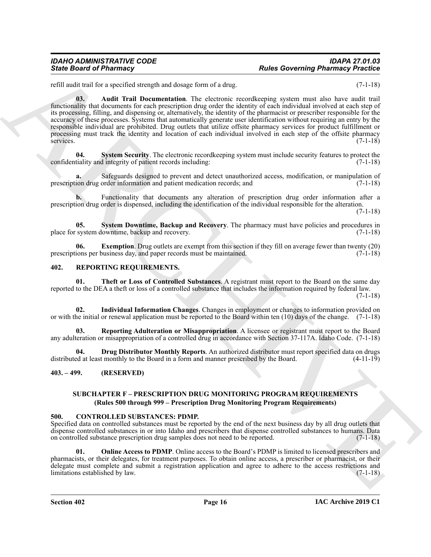#### *IDAHO ADMINISTRATIVE CODE IDAPA 27.01.03 State Board of Pharmacy Rules Governing Pharmacy Practice*

<span id="page-15-5"></span>refill audit trail for a specified strength and dosage form of a drug. (7-1-18)

Since Board of Pharmacy<br>
Since Board of Pharmacy<br>
xalle state a contribute of the specified state and the state and the state and the state and the state and the state of the state and the state and the state and the stat **03. Audit Trail Documentation**. The electronic recordkeeping system must also have audit trail functionality that documents for each prescription drug order the identity of each individual involved at each step of its processing, filling, and dispensing or, alternatively, the identity of the pharmacist or prescriber responsible for the accuracy of these processes. Systems that automatically generate user identification without requiring an entry by the responsible individual are prohibited. Drug outlets that utilize offsite pharmacy services for product fulfillment or processing must track the identity and location of each individual involved in each step of the offsite pharmacy services.  $(7-1-18)$ 

<span id="page-15-8"></span>**04. System Security**. The electronic recordkeeping system must include security features to protect the confidentiality and integrity of patient records including: (7-1-18)

**a.** Safeguards designed to prevent and detect unauthorized access, modification, or manipulation of prescription drug order information and patient medication records; and (7-1-18)

**b.** Functionality that documents any alteration of prescription drug order information after a prescription drug order is dispensed, including the identification of the individual responsible for the alteration.

(7-1-18)

<span id="page-15-7"></span>**05.** System Downtime, Backup and Recovery. The pharmacy must have policies and procedures in system downtime, backup and recovery. place for system downtime, backup and recovery.

<span id="page-15-6"></span>**06. Exemption**. Drug outlets are exempt from this section if they fill on average fewer than twenty (20) prescriptions per business day, and paper records must be maintained. (7-1-18)

#### <span id="page-15-9"></span><span id="page-15-0"></span>**402. REPORTING REQUIREMENTS.**

<span id="page-15-13"></span>**01. Theft or Loss of Controlled Substances**. A registrant must report to the Board on the same day reported to the DEA a theft or loss of a controlled substance that includes the information required by federal law. (7-1-18)

<span id="page-15-11"></span>**02. Individual Information Changes**. Changes in employment or changes to information provided on or with the initial or renewal application must be reported to the Board within ten (10) days of the change. (7-1-18)

<span id="page-15-12"></span>**03. Reporting Adulteration or Misappropriation**. A licensee or registrant must report to the Board any adulteration or misappropriation of a controlled drug in accordance with Section 37-117A. Idaho Code. (7-1-18)

<span id="page-15-10"></span>**04. Drug Distributor Monthly Reports**. An authorized distributor must report specified data on drugs ed at least monthly to the Board in a form and manner prescribed by the Board. (4-11-19) distributed at least monthly to the Board in a form and manner prescribed by the Board.

#### <span id="page-15-1"></span>**403. – 499. (RESERVED)**

### <span id="page-15-3"></span>**SUBCHAPTER F – PRESCRIPTION DRUG MONITORING PROGRAM REQUIREMENTS (Rules 500 through 999 – Prescription Drug Monitoring Program Requirements)**

#### <span id="page-15-2"></span>**500. CONTROLLED SUBSTANCES: PDMP.**

Specified data on controlled substances must be reported by the end of the next business day by all drug outlets that dispense controlled substances in or into Idaho and prescribers that dispense controlled substances to humans. Data on controlled substance prescription drug samples does not need to be reported. (7-1-18)

<span id="page-15-4"></span>**01. Online Access to PDMP**. Online access to the Board's PDMP is limited to licensed prescribers and pharmacists, or their delegates, for treatment purposes. To obtain online access, a prescriber or pharmacist, or their delegate must complete and submit a registration application and agree to adhere to the access restrictions and limitations established by law. (7-1-18)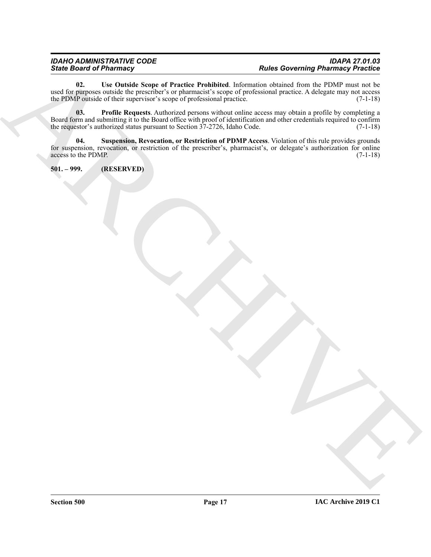Since Brain of Phistings  $\frac{1}{\sqrt{2}}$ <br>
and  $\frac{1}{\sqrt{2}}$  and  $\frac{1}{\sqrt{2}}$  and  $\frac{1}{\sqrt{2}}$  and  $\frac{1}{\sqrt{2}}$  and  $\frac{1}{\sqrt{2}}$  and  $\frac{1}{\sqrt{2}}$  and  $\frac{1}{\sqrt{2}}$  and  $\frac{1}{\sqrt{2}}$  and  $\frac{1}{\sqrt{2}}$  and  $\frac{1}{\sqrt{2}}$  and  $\frac{1}{\sqrt$ **02. Use Outside Scope of Practice Prohibited**. Information obtained from the PDMP must not be used for purposes outside the prescriber's or pharmacist's scope of professional practice. A delegate may not access the PDMP outside of their supervisor's scope of professional practice. (7-1-18)

<span id="page-16-3"></span><span id="page-16-1"></span>**03. Profile Requests**. Authorized persons without online access may obtain a profile by completing a Board form and submitting it to the Board office with proof of identification and other credentials required to confirm<br>the requestor's authorized status pursuant to Section 37-2726, Idaho Code. (7-1-18) the requestor's authorized status pursuant to Section  $37-2726$ , Idaho Code.

<span id="page-16-2"></span>**04. Suspension, Revocation, or Restriction of PDMP Access**. Violation of this rule provides grounds for suspension, revocation, or restriction of the prescriber's, pharmacist's, or delegate's authorization for online access to the PDMP. (7-1-18)

<span id="page-16-0"></span>**501. – 999. (RESERVED)**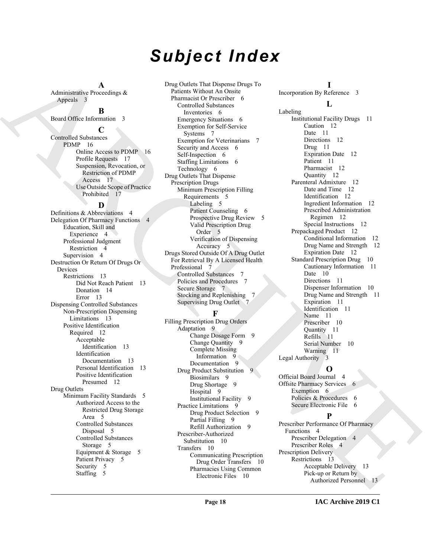# *Subject Index*

**A** Administrative Proceedings & Appeals 3

#### **B**

Board Office Information 3

#### **C**

Controlled Substances PDMP 16 Online Access to PDMP 16 Profile Requests 17 Suspension, Revocation, or Restriction of PDMP Access 17 Use Outside Scope of Practice Prohibited 17

### **D**

 $\begin{tabular}{|c||c||c|} \hline & $\text{A,min} & $\text{A,min}$ & $\text{Dmp}(\text{meth},\text{t})$ & $\text{B,min}$ & $\text{B,min}$ & $\text{B,min}$ & $\text{B,min}$ & $\text{B,min}$ & $\text{B,min}$ & $\text{B,min}$ & $\text{B,min}$ & $\text{B,min}$ & $\text{B,min}$ & $\text{B,min}$ & $\text{B,min}$ & $\text{B,min}$ & $\text{B,min}$ & $\text{B,min}$ & $\text{B,min}$ & $\text{B,min}$ & $\text{B,min}$ & $\text{B,min}$ & $\text{B,min}$ & $\text{B,min}$ & $\text{B,min}$ & $\text{B,min}$ & $\text{B,min}$ & $\$ Definitions & Abbreviations 4 Delegation Of Pharmacy Functions 4 Education, Skill and Experience 4 Professional Judgment Restriction 4 Supervision 4 Destruction Or Return Of Drugs Or Devices Restrictions 13 Did Not Reach Patient 13 Donation 14 Error 13 Dispensing Controlled Substances Non-Prescription Dispensing Limitations 13 Positive Identification Required 12 Acceptable Identification 13 Identification Documentation 13 Personal Identification 13 Positive Identification Presumed 12 Drug Outlets Minimum Facility Standards 5 Authorized Access to the Restricted Drug Storage Area 5 Controlled Substances Disposal 5 Controlled Substances Storage 5 Equipment & Storage 5 Patient Privacy 5 Security 5 Staffing 5

Drug Outlets That Dispense Drugs To Patients Without An Onsite Pharmacist Or Prescriber 6 Controlled Substances Inventories 6 Emergency Situations 6 Exemption for Self-Service Systems 7 Exemption for Veterinarians 7 Security and Access 6 Self-Inspection 6 Staffing Limitations 6 Technology 6 Drug Outlets That Dispense Prescription Drugs Minimum Prescription Filling Requirements 5 Labeling 5 Patient Counseling 6 Prospective Drug Review 5 Valid Prescription Drug Order 5 Verification of Dispensing Accuracy 5 Drugs Stored Outside Of A Drug Outlet For Retrieval By A Licensed Health Professional 7 Controlled Substances 7 Policies and Procedures 7 Secure Storage 7 Stocking and Replenishing 7 Supervising Drug Outlet 7

## **F**

Filling Prescription Drug Orders Adaptation 9 Change Dosage Form 9 Change Quantity 9 Complete Missing Information 9 Documentation 9 Drug Product Substitution 9 Biosimilars 9 Drug Shortage 9 Hospital 9 Institutional Facility 9 Practice Limitations 9 Drug Product Selection 9 Partial Filling 9 Refill Authorization 9 Prescriber-Authorized Substitution 10 Transfers 10 Communicating Prescription Drug Order Transfers 10 Pharmacies Using Common Electronic Files 10

**I** Incorporation By Reference 3

## **L**

Labeling Institutional Facility Drugs 11 Caution 12 Date 11 Directions 12 Drug 11 Expiration Date 12 Patient 11 Pharmacist 12 Quantity 12 Parenteral Admixture 12 Date and Time 12 Identification 12 Ingredient Information 12 Prescribed Administration Regimen 12 Special Instructions 12 Prepackaged Product 12 Conditional Information 12 Drug Name and Strength 12 Expiration Date 12 Standard Prescription Drug 10 Cautionary Information 11 Date 10 Directions 11 Dispenser Information 10 Drug Name and Strength 11 Expiration 11 Identification 11 Name 11 Prescriber 10 Quantity 11 Refills 11 Serial Number 10 Warning 11 Legal Authority 3

## **O**

Official Board Journal 4 Offsite Pharmacy Services 6 Exemption 6 Policies & Procedures 6 Secure Electronic File 6

**P**

Prescriber Performance Of Pharmacy Functions 4 Prescriber Delegation 4 Prescriber Roles 4 Prescription Delivery Restrictions 13 Acceptable Delivery 13 Pick-up or Return by Authorized Personnel 13